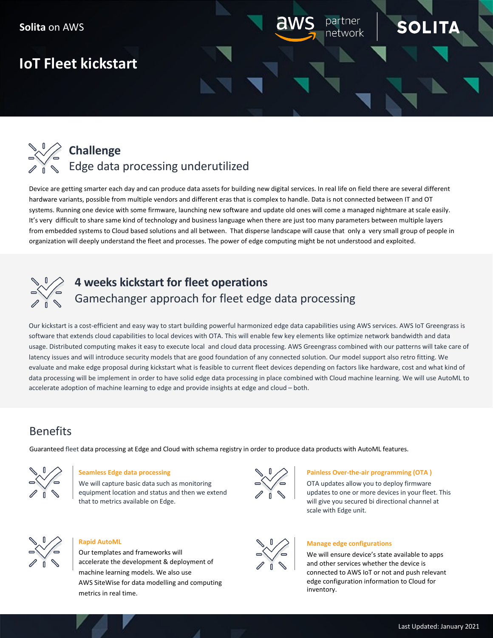# **IoT Fleet kickstart**



Device are getting smarter each day and can produce data assets for building new digital services. In real life on field there are several different hardware variants, possible from multiple vendors and different eras that is complex to handle. Data is not connected between IT and OT systems. Running one device with some firmware, launching new software and update old ones will come a managed nightmare at scale easily. It's very difficult to share same kind of technology and business language when there are just too many parameters between multiple layers from embedded systems to Cloud based solutions and all between. That disperse landscape will cause that only a very small group of people in organization will deeply understand the fleet and processes. The power of edge computing might be not understood and exploited.



# **4 weeks kickstart for fleet operations** Gamechanger approach for fleet edge data processing

Our kickstart is a cost-efficient and easy way to start building powerful harmonized edge data capabilities using AWS services. AWS IoT Greengrass is software that extends cloud capabilities to local devices with OTA. This will enable few key elements like optimize network bandwidth and data usage. Distributed computing makes it easy to execute local and cloud data processing. AWS Greengrass combined with our patterns will take care of latency issues and will introduce security models that are good foundation of any connected solution. Our model support also retro fitting. We evaluate and make edge proposal during kickstart what is feasible to current fleet devices depending on factors like hardware, cost and what kind of data processing will be implement in order to have solid edge data processing in place combined with Cloud machine learning. We will use AutoML to accelerate adoption of machine learning to edge and provide insights at edge and cloud – both.

# Benefits

Guaranteed fleet data processing at Edge and Cloud with schema registry in order to produce data products with AutoML features.



### **Seamless Edge data processing**

We will capture basic data such as monitoring equipment location and status and then we extend that to metrics available on Edge.



### **Painless Over-the-air programming (OTA )**

OTA updates allow you to deploy firmware updates to one or more devices in your fleet. This will give you secured bi directional channel at scale with Edge unit.

SOLIT

າetwork



### **Manage edge configurations**

We will ensure device's state available to apps and other services whether the device is connected to AWS IoT or not and push relevant edge configuration information to Cloud for inventory.



### **Rapid AutoML**

Our templates and frameworks will accelerate the development & deployment of machine learning models. We also use AWS SiteWise for data modelling and computing metrics in real time.